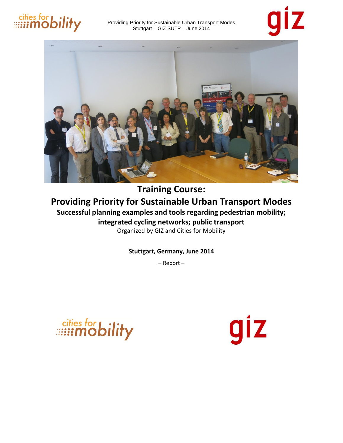





### **Training Course: Providing Priority for Sustainable Urban Transport Modes Successful planning examples and tools regarding pedestrian mobility; integrated cycling networks; public transport**

Organized by GIZ and Cities for Mobility

**Stuttgart, Germany, June 2014**

– Report –

giz

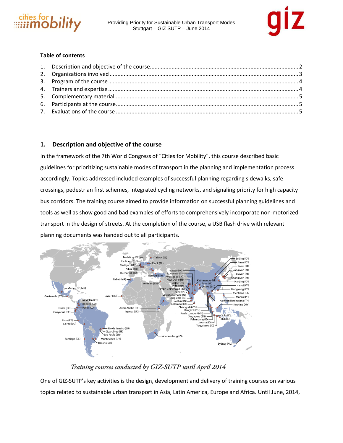



### **Table of contents**

### **1. Description and objective of the course**

In the framework of the 7th World Congress of "Cities for Mobility", this course described basic guidelines for prioritizing sustainable modes of transport in the planning and implementation process accordingly. Topics addressed included examples of successful planning regarding sidewalks, safe crossings, pedestrian first schemes, integrated cycling networks, and signaling priority for high capacity bus corridors. The training course aimed to provide information on successful planning guidelines and tools as well as show good and bad examples of efforts to comprehensively incorporate non-motorized transport in the design of streets. At the completion of the course, a USB flash drive with relevant planning documents was handed out to all participants.



### Training courses conducted by GIZ-SUTP until April 2014

One of GIZ-SUTP's key activities is the design, development and delivery of training courses on various topics related to sustainable urban transport in Asia, Latin America, Europe and Africa. Until June, 2014,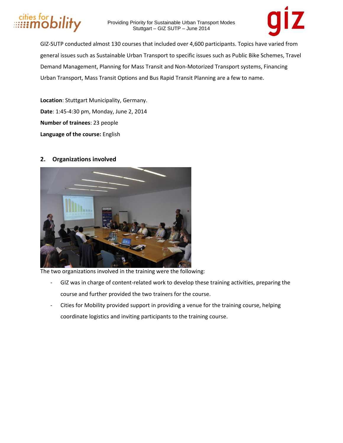



GIZ-SUTP conducted almost 130 courses that included over 4,600 participants. Topics have varied from general issues such as Sustainable Urban Transport to specific issues such as Public Bike Schemes, Travel Demand Management, Planning for Mass Transit and Non-Motorized Transport systems, Financing Urban Transport, Mass Transit Options and Bus Rapid Transit Planning are a few to name.

**Location**: Stuttgart Municipality, Germany. **Date**: 1:45-4:30 pm, Monday, June 2, 2014 **Number of trainees**: 23 people **Language of the course:** English

### **2. Organizations involved**



The two organizations involved in the training were the following:

- GIZ was in charge of content-related work to develop these training activities, preparing the course and further provided the two trainers for the course.
- Cities for Mobility provided support in providing a venue for the training course, helping coordinate logistics and inviting participants to the training course.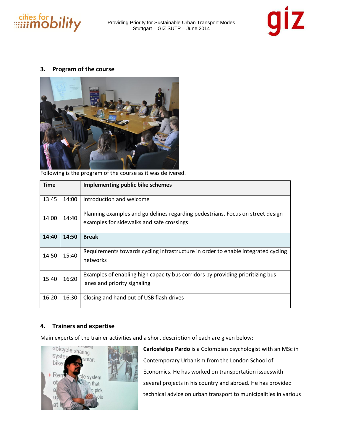



### **3. Program of the course**



Following is the program of the course as it was delivered.

| <b>Time</b> |                                                                                                                         | Implementing public bike schemes                                                                                            |  |  |
|-------------|-------------------------------------------------------------------------------------------------------------------------|-----------------------------------------------------------------------------------------------------------------------------|--|--|
| 13:45       | 14:00                                                                                                                   | Introduction and welcome                                                                                                    |  |  |
| 14:00       | 14:40                                                                                                                   | Planning examples and guidelines regarding pedestrians. Focus on street design<br>examples for sidewalks and safe crossings |  |  |
| 14:40       | 14:50                                                                                                                   | <b>Break</b>                                                                                                                |  |  |
| 14:50       | 15:40                                                                                                                   | Requirements towards cycling infrastructure in order to enable integrated cycling<br>networks                               |  |  |
| 15:40       | Examples of enabling high capacity bus corridors by providing prioritizing bus<br>16:20<br>lanes and priority signaling |                                                                                                                             |  |  |
| 16:20       | 16:30                                                                                                                   | Closing and hand out of USB flash drives                                                                                    |  |  |

### **4. Trainers and expertise**

Main experts of the trainer activities and a short description of each are given below:



**Carlosfelipe Pardo** is a Colombian psychologist with an MSc in Contemporary Urbanism from the London School of Economics. He has worked on transportation issueswith several projects in his country and abroad. He has provided technical advice on urban transport to municipalities in various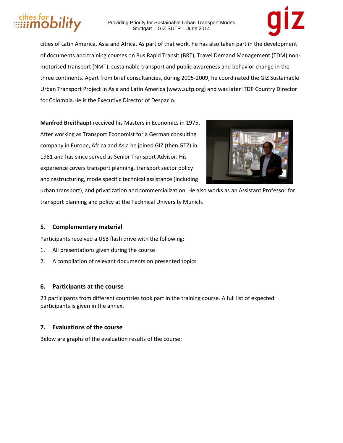## bılıty

Providing Priority for Sustainable Urban Transport Modes Stuttgart – GIZ SUTP – June 2014



cities of Latin America, Asia and Africa. As part of that work, he has also taken part in the development of documents and training courses on Bus Rapid Transit (BRT), Travel Demand Management (TDM) nonmotorised transport (NMT), sustainable transport and public awareness and behavior change in the three continents. Apart from brief consultancies, during 2005-2009, he coordinated the GIZ Sustainable Urban Transport Project in Asia and Latin America (www.sutp.org) and was later ITDP Country Director for Colombia.He is the Executive Director of Despacio.

**Manfred Breithaupt** received his Masters in Economics in 1975. After working as Transport Economist for a German consulting company in Europe, Africa and Asia he joined GIZ (then GTZ) in 1981 and has since served as Senior Transport Advisor. His experience covers transport planning, transport sector policy and restructuring, mode specific technical assistance (including



urban transport), and privatization and commercialization. He also works as an Assistant Professor for transport planning and policy at the Technical University Munich.

### **5. Complementary material**

Participants received a USB flash drive with the following:

- 1. All presentations given during the course
- 2. A compilation of relevant documents on presented topics

### **6. Participants at the course**

23 participants from different countries took part in the training course. A full list of expected participants is given in the annex.

### **7. Evaluations of the course**

Below are graphs of the evaluation results of the course: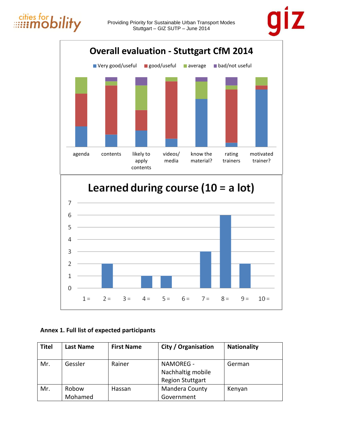



### **Annex 1. Full list of expected participants**

| Titel | <b>Last Name</b> | <b>First Name</b> | City / Organisation     | <b>Nationality</b> |
|-------|------------------|-------------------|-------------------------|--------------------|
|       |                  |                   |                         |                    |
| Mr.   | Gessler          | Rainer            | NAMOREG -               | German             |
|       |                  |                   | Nachhaltig mobile       |                    |
|       |                  |                   | <b>Region Stuttgart</b> |                    |
| Mr.   | Robow            | Hassan            | Mandera County          | Kenyan             |
|       | Mohamed          |                   | Government              |                    |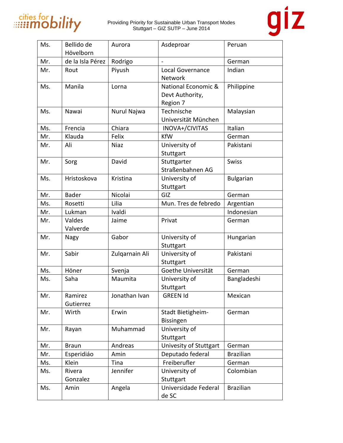

# giz

| Ms. | Bellido de<br>Hövelborn | Aurora         | Asdeproar                                          | Peruan           |
|-----|-------------------------|----------------|----------------------------------------------------|------------------|
| Mr. | de la Isla Pérez        | Rodrigo        |                                                    | German           |
| Mr. | Rout                    | Piyush         | Local Governance<br>Network                        | Indian           |
| Ms. | Manila                  | Lorna          | National Economic &<br>Devt Authority,<br>Region 7 | Philippine       |
| Ms. | Nawai                   | Nurul Najwa    | Technische<br>Universität München                  | Malaysian        |
| Ms. | Frencia                 | Chiara         | INOVA+/CIVITAS                                     | Italian          |
| Mr. | Klauda                  | Felix          | <b>KfW</b>                                         | German           |
| Mr. | Ali                     | <b>Niaz</b>    | University of<br>Stuttgart                         | Pakistani        |
| Mr. | Sorg                    | David          | Stuttgarter<br>Straßenbahnen AG                    | <b>Swiss</b>     |
| Ms. | Hristoskova             | Kristina       | University of<br>Stuttgart                         | <b>Bulgarian</b> |
| Mr. | <b>Bader</b>            | Nicolai        | GIZ                                                | German           |
| Ms. | Rosetti                 | Lilia          | Mun. Tres de febredo                               | Argentian        |
| Mr. | Lukman                  | Ivaldi         |                                                    | Indonesian       |
| Mr. | Valdes<br>Valverde      | Jaime          | Privat                                             | German           |
| Mr. | Nagy                    | Gabor          | University of<br>Stuttgart                         | Hungarian        |
| Mr. | Sabir                   | Zulgarnain Ali | University of<br>Stuttgart                         | Pakistani        |
| Ms. | Höner                   | Svenja         | Goethe Universität                                 | German           |
| Ms. | Saha                    | Maumita        | University of<br>Stuttgart                         | Bangladeshi      |
| Mr. | Ramirez<br>Gutierrez    | Jonathan Ivan  | <b>GREEN Id</b>                                    | Mexican          |
| Mr. | Wirth                   | Erwin          | Stadt Bietigheim-<br>Bissingen                     | German           |
| Mr. | Rayan                   | Muhammad       | University of<br>Stuttgart                         |                  |
| Mr. | <b>Braun</b>            | Andreas        | Univesity of Stuttgart                             | German           |
| Mr. | Esperidiáo              | Amin           | Deputado federal                                   | <b>Brazilian</b> |
| Ms. | Klein                   | Tina           | Freiberufler                                       | German           |
| Ms. | Rivera<br>Gonzalez      | Jennifer       | University of<br>Stuttgart                         | Colombian        |
| Ms. | Amin                    | Angela         | Universidade Federal<br>de SC                      | <b>Brazilian</b> |